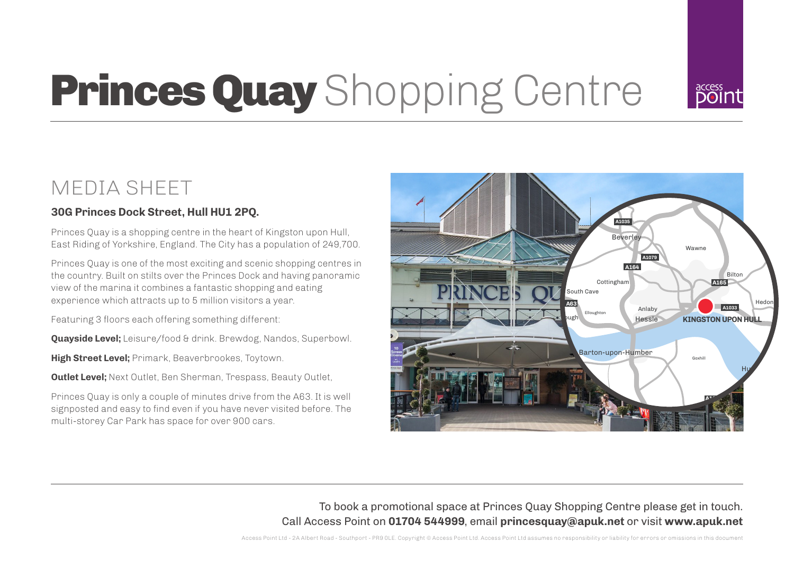

# **Princes Quay** Shopping Centre

# MEDIA SHEET

# **30G Princes Dock Street, Hull HU1 2PQ.**

Princes Quay is a shopping centre in the heart of Kingston upon Hull, East Riding of Yorkshire, England. The City has a population of 249,700.

Princes Quay is one of the most exciting and scenic shopping centres in the country. Built on stilts over the Princes Dock and having panoramic view of the marina it combines a fantastic shopping and eating experience which attracts up to 5 million visitors a year.

Featuring 3 floors each offering something different:

**Quayside Level:** Leisure/food & drink. Brewdog, Nandos, Superbowl.

**High Street Level;** Primark, Beaverbrookes, Toytown.

**Outlet Level;** Next Outlet, Ben Sherman, Trespass, Beauty Outlet,

Princes Quay is only a couple of minutes drive from the A63. It is well signposted and easy to find even if you have never visited before. The multi-storey Car Park has space for over 900 cars.



To book a promotional space at Princes Quay Shopping Centre please get in touch. Call Access Point on **01704 544999**, email **princesquay@apuk.net** or visit **www.apuk.net**

Access Point Ltd - 2A Albert Road - Southport - PR9 0LE. Copyright © Access Point Ltd. Access Point Ltd assumes no responsibility or liability for errors or omissions in this document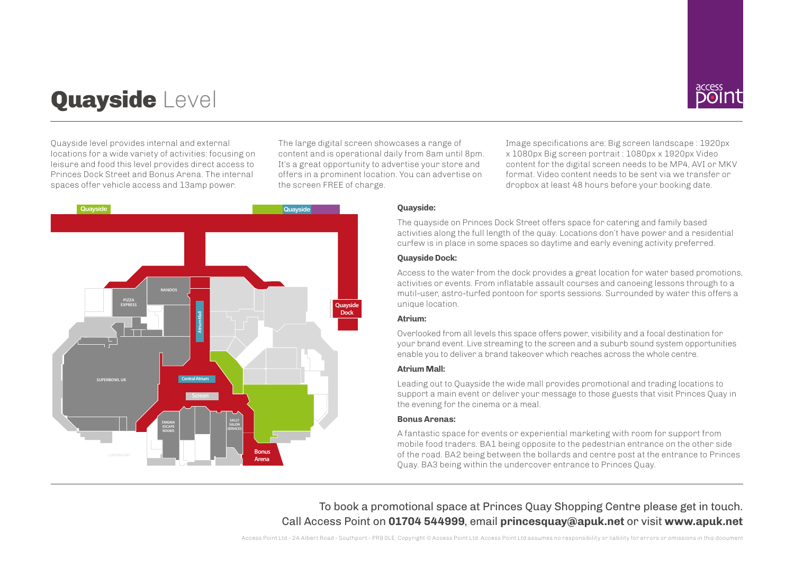# Quayside Level



Quayside level provides internal and external locations for a wide variety of activities: focusing on leisure and food this level provides direct access to Princes Dock Street and Bonus Arena. The internal spaces offer vehicle access and 13amp power.

The large digital screen showcases a range of content and is operational daily from 8am until 8pm. It's a great opportunity to advertise your store and offers in a prominent location. You can advertise on the screen FREE of charge.

Image specifications are: Big screen landscape : 1920px x 1080px Big screen portrait : 1080px x 1920px Video content for the digital screen needs to be MP4, AVI or MKV format. Video content needs to be sent via we transfer or dropbox at least 48 hours before your booking date.



# **Quayside:**

The quayside on Princes Dock Street offers space for catering and family based activities along the full length of the quay. Locations don't have power and a residential curfew is in place in some spaces so daytime and early evening activity preferred.

### **Quayside Dock:**

Access to the water from the dock provides a great location for water based promotions, activities or events. From inflatable assault courses and canoeing lessons through to a mutil-user, astro-turfed pontoon for sports sessions. Surrounded by water this offers a unique location.

# **Atrium:**

Overlooked from all levels this space offers power, visibility and a focal destination for your brand event. Live streaming to the screen and a suburb sound system opportunities enable you to deliver a brand takeover which reaches across the whole centre.

# **Atrium Mall:**

Leading out to Quayside the wide mall provides promotional and trading locations to support a main event or deliver your message to those guests that visit Princes Quay in the evening for the cinema or a meal.

# **Bonus Arenas:**

A fantastic space for events or experiential marketing with room for support from mobile food traders. BA1 being opposite to the pedestrian entrance on the other side of the road. BA2 being between the bollards and centre post at the entrance to Princes Quay. BA3 being within the undercover entrance to Princes Quay.

To book a promotional space at Princes Quay Shopping Centre please get in touch. Call Access Point on **01704 544999**, email **princesquay@apuk.net** or visit **www.apuk.net**